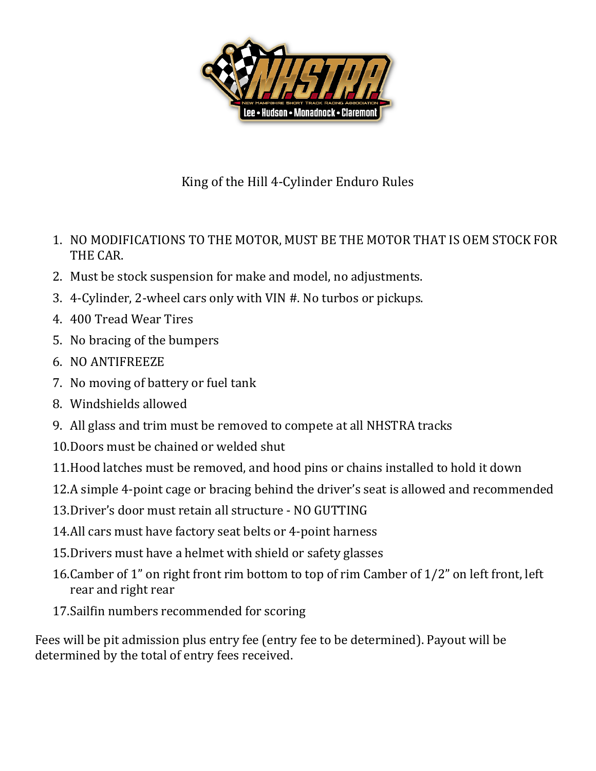

## King of the Hill 4-Cylinder Enduro Rules

- 1. NO MODIFICATIONS TO THE MOTOR, MUST BE THE MOTOR THAT IS OEM STOCK FOR THE CAR.
- 2. Must be stock suspension for make and model, no adjustments.
- 3. 4-Cylinder, 2-wheel cars only with VIN #. No turbos or pickups.
- 4. 400 Tread Wear Tires
- 5. No bracing of the bumpers
- 6. NO ANTIFREEZE
- 7. No moving of battery or fuel tank
- 8. Windshields allowed
- 9. All glass and trim must be removed to compete at all NHSTRA tracks
- 10.Doors must be chained or welded shut
- 11.Hood latches must be removed, and hood pins or chains installed to hold it down
- 12.A simple 4-point cage or bracing behind the driver's seat is allowed and recommended
- 13.Driver's door must retain all structure NO GUTTING
- 14.All cars must have factory seat belts or 4-point harness
- 15.Drivers must have a helmet with shield or safety glasses
- 16.Camber of 1" on right front rim bottom to top of rim Camber of 1/2" on left front, left rear and right rear
- 17.Sailfin numbers recommended for scoring

Fees will be pit admission plus entry fee (entry fee to be determined). Payout will be determined by the total of entry fees received.